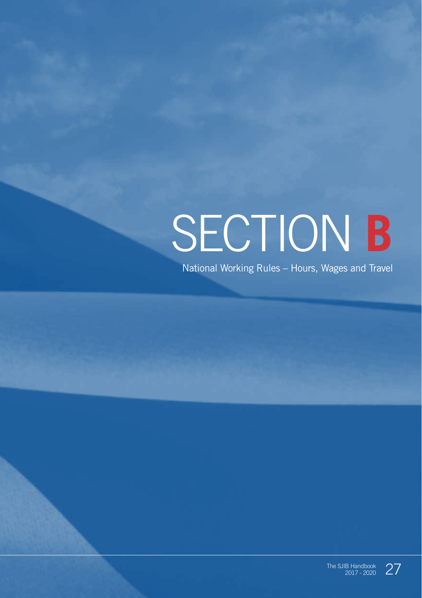# SECTION **B**

National Working Rules – Hours, Wages and Travel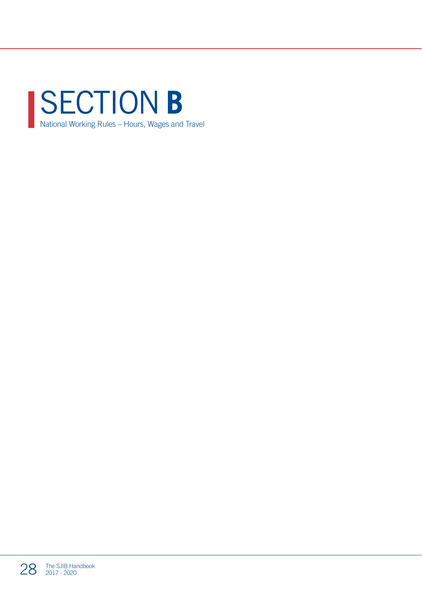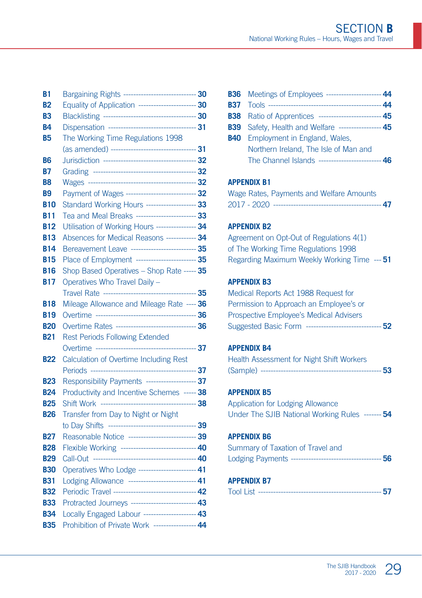| B1             | Bargaining Rights ------------------------------ 30                                                       |  |
|----------------|-----------------------------------------------------------------------------------------------------------|--|
| <b>B2</b>      | Equality of Application ------------------------ 30                                                       |  |
| B3             |                                                                                                           |  |
| <b>B4</b>      | Dispensation ----------------------------------- 31                                                       |  |
| <b>B5</b>      | The Working Time Regulations 1998                                                                         |  |
|                |                                                                                                           |  |
| B6             |                                                                                                           |  |
| B7             |                                                                                                           |  |
| B <sub>8</sub> |                                                                                                           |  |
| B <sub>9</sub> | Payment of Wages ---------------------------- 32                                                          |  |
| <b>B10</b>     | Standard Working Hours -------------------- 33                                                            |  |
| B11            | Tea and Meal Breaks ------------------------- 33                                                          |  |
| <b>B12</b>     | Utilisation of Working Hours ---------------- 34                                                          |  |
| <b>B13</b>     | Absences for Medical Reasons ------------ 34                                                              |  |
| <b>B14</b>     | Bereavement Leave --------------------------- 35                                                          |  |
| <b>B15</b>     | Place of Employment ------------------------- 35                                                          |  |
| <b>B16</b>     | Shop Based Operatives - Shop Rate ----- 35                                                                |  |
| <b>B17</b>     | Operatives Who Travel Daily -                                                                             |  |
|                |                                                                                                           |  |
| <b>B18</b>     | Mileage Allowance and Mileage Rate ---- 36                                                                |  |
| <b>B19</b>     |                                                                                                           |  |
| <b>B20</b>     | Overtime Rates ---------------------------------- 36                                                      |  |
| <b>B21</b>     | <b>Rest Periods Following Extended</b>                                                                    |  |
|                |                                                                                                           |  |
| <b>B22</b>     | Calculation of Overtime Including Rest                                                                    |  |
|                |                                                                                                           |  |
| <b>B23</b>     | Responsibility Payments -------------------- 37                                                           |  |
| <b>B24</b>     | Productivity and Incentive Schemes ----- 38                                                               |  |
| <b>B25</b>     |                                                                                                           |  |
| <b>B26</b>     | Transfer from Day to Night or Night                                                                       |  |
|                |                                                                                                           |  |
| <b>B27</b>     | Reasonable Notice ---------------------------- 39                                                         |  |
| <b>B28</b>     | Flexible Working ------------------------------ 40                                                        |  |
| <b>B29</b>     |                                                                                                           |  |
| <b>B30</b>     | Operatives Who Lodge ----------------------- 41                                                           |  |
| <b>B31</b>     | Lodging Allowance --------------------------- 41<br>Periodic Travel ---------------------------------- 42 |  |
| <b>B32</b>     | Protracted Journeys -------------------------- 43                                                         |  |
| <b>B33</b>     | Locally Engaged Labour --------------------- 43                                                           |  |
| <b>B34</b>     | Prohibition of Private Work ---------------- 44                                                           |  |
| <b>B35</b>     |                                                                                                           |  |

| <b>B36</b> Meetings of Employees -------------------------44   |  |
|----------------------------------------------------------------|--|
|                                                                |  |
| <b>B38</b> Ratio of Apprentices --------------------------- 45 |  |
| <b>B39</b> Safety, Health and Welfare ------------------ 45    |  |
| <b>B40</b> Employment in England, Wales,                       |  |
| Northern Ireland, The Isle of Man and                          |  |
| The Channel Islands ------------------------                   |  |
|                                                                |  |

#### **APPENDIX B1**

|  | Wage Rates, Payments and Welfare Amounts |  |
|--|------------------------------------------|--|
|  | ------ 47                                |  |

#### **APPENDIX B2**

Agreement on Opt-Out of Regulations 4(1) of The Working Time Regulations 1998 Regarding Maximum Weekly Working Time --- **51**

#### **APPENDIX B3**

Medical Reports Act 1988 Request for Permission to Approach an Employee's or Prospective Employee's Medical Advisers Suggested Basic Form ------------------------------ **52**

#### **APPENDIX B4**

| <b>Health Assessment for Night Shift Workers</b>            |  |
|-------------------------------------------------------------|--|
| (Sample) ---<br>------- 53<br>----------------------------- |  |

#### **APPENDIX B5**

Application for Lodging Allowance Under The SJIB National Working Rules ------- **54**

#### **APPENDIX B6**

| Summary of Taxation of Travel and |  |
|-----------------------------------|--|
|                                   |  |

#### **APPENDIX B7**

| <b>Tool List</b> |  |  |
|------------------|--|--|
|                  |  |  |

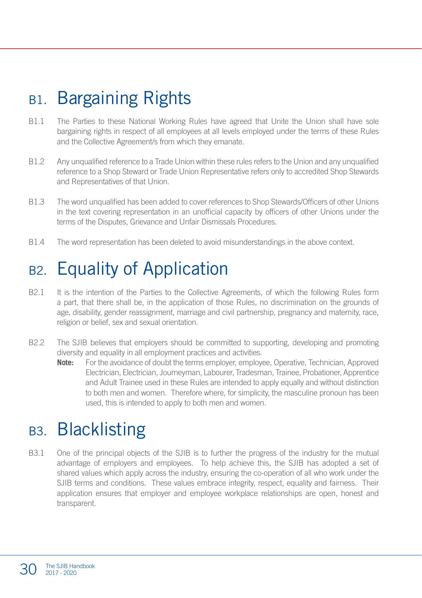### B<sub>1</sub>. Bargaining Rights

- B1.1 The Parties to these National Working Rules have agreed that Unite the Union shall have sole bargaining rights in respect of all employees at all levels employed under the terms of these Rules and the Collective Agreement/s from which they emanate.
- B1.2 Any unqualified reference to a Trade Union within these rules refers to the Union and any unqualified reference to a Shop Steward or Trade Union Representative refers only to accredited Shop Stewards and Representatives of that Union.
- B1.3 The word unqualified has been added to cover references to Shop Stewards/Officers of other Unions in the text covering representation in an unofficial capacity by officers of other Unions under the terms of the Disputes, Grievance and Unfair Dismissals Procedures.
- B1.4 The word representation has been deleted to avoid misunderstandings in the above context.

### B2. Equality of Application

- B2.1 It is the intention of the Parties to the Collective Agreements, of which the following Rules form a part, that there shall be, in the application of those Rules, no discrimination on the grounds of age, disability, gender reassignment, marriage and civil partnership, pregnancy and maternity, race, religion or belief, sex and sexual orientation.
- B2.2 The SJIB believes that employers should be committed to supporting, developing and promoting diversity and equality in all employment practices and activities.
	- **Note:** For the avoidance of doubt the terms employer, employee, Operative, Technician, Approved Electrician, Electrician, Journeyman, Labourer, Tradesman, Trainee, Probationer, Apprentice and Adult Trainee used in these Rules are intended to apply equally and without distinction to both men and women. Therefore where, for simplicity, the masculine pronoun has been used, this is intended to apply to both men and women.

#### B3. Blacklisting

B3.1 One of the principal objects of the SJIB is to further the progress of the industry for the mutual advantage of employers and employees. To help achieve this, the SJIB has adopted a set of shared values which apply across the industry, ensuring the co-operation of all who work under the SJIB terms and conditions. These values embrace integrity, respect, equality and fairness. Their application ensures that employer and employee workplace relationships are open, honest and transparent.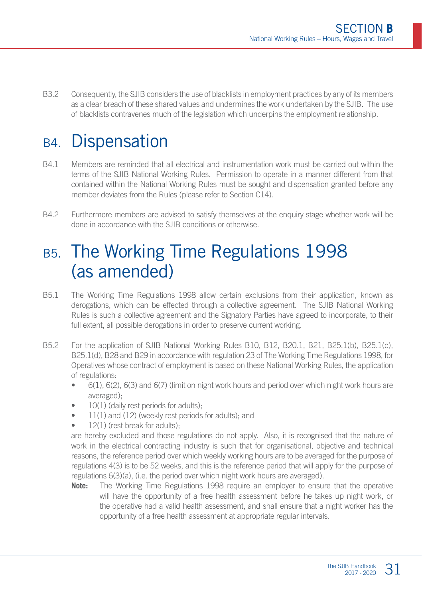B3.2 Consequently, the SJIB considers the use of blacklists in employment practices by any of its members as a clear breach of these shared values and undermines the work undertaken by the SJIB. The use of blacklists contravenes much of the legislation which underpins the employment relationship.

### B4. Dispensation

- B4.1 Members are reminded that all electrical and instrumentation work must be carried out within the terms of the SJIB National Working Rules. Permission to operate in a manner different from that contained within the National Working Rules must be sought and dispensation granted before any member deviates from the Rules (please refer to Section C14).
- B4.2 Furthermore members are advised to satisfy themselves at the enquiry stage whether work will be done in accordance with the SJIB conditions or otherwise.

### B5. The Working Time Regulations 1998 (as amended)

- B5.1 The Working Time Regulations 1998 allow certain exclusions from their application, known as derogations, which can be effected through a collective agreement. The SJIB National Working Rules is such a collective agreement and the Signatory Parties have agreed to incorporate, to their full extent, all possible derogations in order to preserve current working.
- B5.2 For the application of SJIB National Working Rules B10, B12, B20.1, B21, B25.1(b), B25.1(c), B25.1(d), B28 and B29 in accordance with regulation 23 of The Working Time Regulations 1998, for Operatives whose contract of employment is based on these National Working Rules, the application of regulations:
	- 6(1), 6(2), 6(3) and 6(7) (limit on night work hours and period over which night work hours are averaged);
	- 10(1) (daily rest periods for adults);
	- 11(1) and (12) (weekly rest periods for adults); and
	- 12(1) (rest break for adults):

are hereby excluded and those regulations do not apply. Also, it is recognised that the nature of work in the electrical contracting industry is such that for organisational, objective and technical reasons, the reference period over which weekly working hours are to be averaged for the purpose of regulations 4(3) is to be 52 weeks, and this is the reference period that will apply for the purpose of regulations 6(3)(a), (i.e. the period over which night work hours are averaged).

**Note:** The Working Time Regulations 1998 require an employer to ensure that the operative will have the opportunity of a free health assessment before he takes up night work, or the operative had a valid health assessment, and shall ensure that a night worker has the opportunity of a free health assessment at appropriate regular intervals.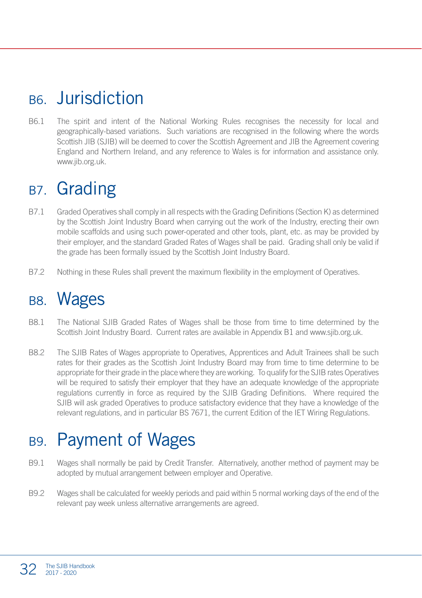### B6. Jurisdiction

B6.1 The spirit and intent of the National Working Rules recognises the necessity for local and geographically-based variations. Such variations are recognised in the following where the words Scottish JIB (SJIB) will be deemed to cover the Scottish Agreement and JIB the Agreement covering England and Northern Ireland, and any reference to Wales is for information and assistance only. www.jib.org.uk.

### B<sub>7</sub>. Grading

- B7.1 Graded Operatives shall comply in all respects with the Grading Definitions (Section K) as determined by the Scottish Joint Industry Board when carrying out the work of the Industry, erecting their own mobile scaffolds and using such power-operated and other tools, plant, etc. as may be provided by their employer, and the standard Graded Rates of Wages shall be paid. Grading shall only be valid if the grade has been formally issued by the Scottish Joint Industry Board.
- B7.2 Nothing in these Rules shall prevent the maximum flexibility in the employment of Operatives.

#### B8. Wages

- B8.1 The National SJIB Graded Rates of Wages shall be those from time to time determined by the Scottish Joint Industry Board. Current rates are available in Appendix B1 and www.sjib.org.uk.
- B8.2 The SJIB Rates of Wages appropriate to Operatives, Apprentices and Adult Trainees shall be such rates for their grades as the Scottish Joint Industry Board may from time to time determine to be appropriate for their grade in the place where they are working. To qualify for the SJIB rates Operatives will be required to satisfy their employer that they have an adequate knowledge of the appropriate regulations currently in force as required by the SJIB Grading Definitions. Where required the SJIB will ask graded Operatives to produce satisfactory evidence that they have a knowledge of the relevant regulations, and in particular BS 7671, the current Edition of the IET Wiring Regulations.

### B9. Payment of Wages

- B9.1 Wages shall normally be paid by Credit Transfer. Alternatively, another method of payment may be adopted by mutual arrangement between employer and Operative.
- B9.2 Wages shall be calculated for weekly periods and paid within 5 normal working days of the end of the relevant pay week unless alternative arrangements are agreed.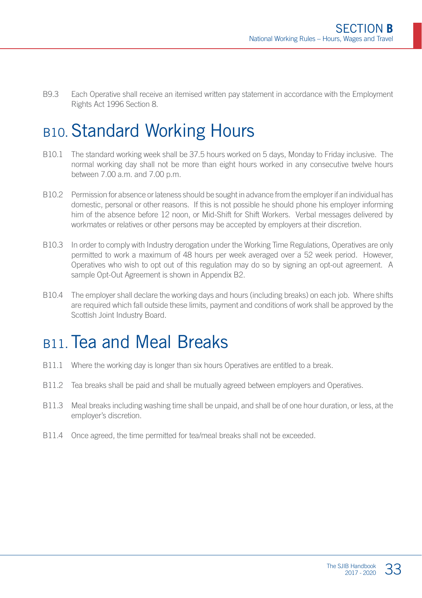B9.3 Each Operative shall receive an itemised written pay statement in accordance with the Employment Rights Act 1996 Section 8.

### B10. Standard Working Hours

- B10.1 The standard working week shall be 37.5 hours worked on 5 days, Monday to Friday inclusive. The normal working day shall not be more than eight hours worked in any consecutive twelve hours between  $7.00 \text{ a m}$  and  $7.00 \text{ n m}$ .
- B10.2 Permission for absence or lateness should be sought in advance from the employer if an individual has domestic, personal or other reasons. If this is not possible he should phone his employer informing him of the absence before 12 noon, or Mid-Shift for Shift Workers. Verbal messages delivered by workmates or relatives or other persons may be accepted by employers at their discretion.
- B10.3 In order to comply with Industry derogation under the Working Time Regulations, Operatives are only permitted to work a maximum of 48 hours per week averaged over a 52 week period. However, Operatives who wish to opt out of this regulation may do so by signing an opt-out agreement. A sample Opt-Out Agreement is shown in Appendix B2.
- B10.4 The employer shall declare the working days and hours (including breaks) on each job. Where shifts are required which fall outside these limits, payment and conditions of work shall be approved by the Scottish Joint Industry Board.

#### B<sub>11</sub> Tea and Meal Breaks

- B11.1 Where the working day is longer than six hours Operatives are entitled to a break.
- B11.2 Tea breaks shall be paid and shall be mutually agreed between employers and Operatives.
- B11.3 Meal breaks including washing time shall be unpaid, and shall be of one hour duration, or less, at the employer's discretion.
- B11.4 Once agreed, the time permitted for tea/meal breaks shall not be exceeded.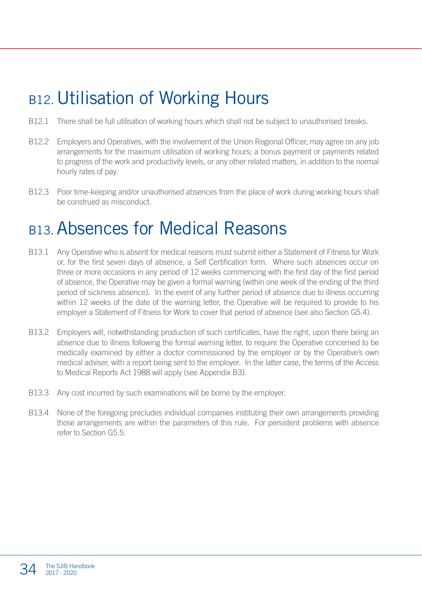### B<sub>12</sub>. Utilisation of Working Hours

- B12.1 There shall be full utilisation of working hours which shall not be subject to unauthorised breaks.
- B12.2 Employers and Operatives, with the involvement of the Union Regional Officer, may agree on any job arrangements for the maximum utilisation of working hours; a bonus payment or payments related to progress of the work and productivity levels, or any other related matters, in addition to the normal hourly rates of pay.
- B12.3 Poor time-keeping and/or unauthorised absences from the place of work during working hours shall be construed as misconduct.

### B13.Absences for Medical Reasons

- B13.1 Any Operative who is absent for medical reasons must submit either a Statement of Fitness for Work or, for the first seven days of absence, a Self Certification form. Where such absences occur on three or more occasions in any period of 12 weeks commencing with the first day of the first period of absence, the Operative may be given a formal warning (within one week of the ending of the third period of sickness absence). In the event of any further period of absence due to illness occurring within 12 weeks of the date of the warning letter, the Operative will be required to provide to his employer a Statement of Fitness for Work to cover that period of absence (see also Section G5.4).
- B13.2 Employers will, notwithstanding production of such certificates, have the right, upon there being an absence due to illness following the formal warning letter, to require the Operative concerned to be medically examined by either a doctor commissioned by the employer or by the Operative's own medical adviser, with a report being sent to the employer. In the latter case, the terms of the Access to Medical Reports Act 1988 will apply (see Appendix B3).
- B13.3 Any cost incurred by such examinations will be borne by the employer.
- B13.4 None of the foregoing precludes individual companies instituting their own arrangements providing those arrangements are within the parameters of this rule. For persistent problems with absence refer to Section G5.5.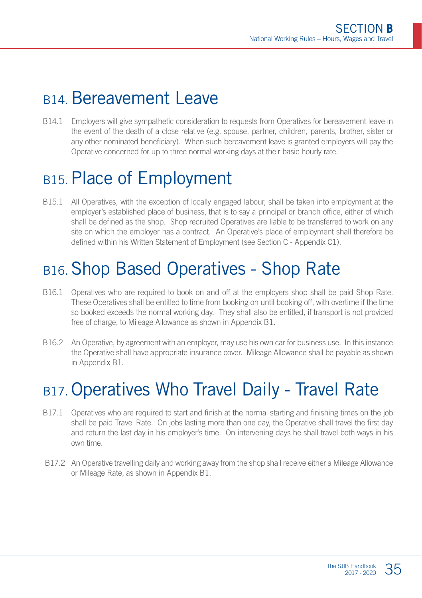### B<sub>14</sub> Bereavement Leave

B14.1 Employers will give sympathetic consideration to requests from Operatives for bereavement leave in the event of the death of a close relative (e.g. spouse, partner, children, parents, brother, sister or any other nominated beneficiary). When such bereavement leave is granted employers will pay the Operative concerned for up to three normal working days at their basic hourly rate.

### B<sub>15</sub>. Place of Employment

B15.1 All Operatives, with the exception of locally engaged labour, shall be taken into employment at the employer's established place of business, that is to say a principal or branch office, either of which shall be defined as the shop. Shop recruited Operatives are liable to be transferred to work on any site on which the employer has a contract. An Operative's place of employment shall therefore be defined within his Written Statement of Employment (see Section C - Appendix C1).

### B16.Shop Based Operatives - Shop Rate

- B16.1 Operatives who are required to book on and off at the employers shop shall be paid Shop Rate. These Operatives shall be entitled to time from booking on until booking off, with overtime if the time so booked exceeds the normal working day. They shall also be entitled, if transport is not provided free of charge, to Mileage Allowance as shown in Appendix B1.
- B16.2 An Operative, by agreement with an employer, may use his own car for business use. In this instance the Operative shall have appropriate insurance cover. Mileage Allowance shall be payable as shown in Appendix B1.

### B17. Operatives Who Travel Daily - Travel Rate

- B17.1 Operatives who are required to start and finish at the normal starting and finishing times on the job shall be paid Travel Rate. On jobs lasting more than one day, the Operative shall travel the first day and return the last day in his employer's time. On intervening days he shall travel both ways in his own time.
- B17.2 An Operative travelling daily and working away from the shop shall receive either a Mileage Allowance or Mileage Rate, as shown in Appendix B1.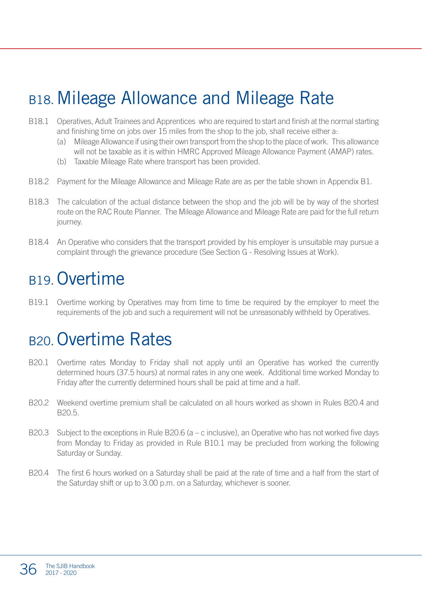### B18. Mileage Allowance and Mileage Rate

- B18.1 Operatives, Adult Trainees and Apprentices who are required to start and finish at the normal starting and finishing time on jobs over 15 miles from the shop to the job, shall receive either a:
	- (a) Mileage Allowance if using their own transport from the shop to the place of work. This allowance will not be taxable as it is within HMRC Approved Mileage Allowance Payment (AMAP) rates.
	- (b) Taxable Mileage Rate where transport has been provided.
- B18.2 Payment for the Mileage Allowance and Mileage Rate are as per the table shown in Appendix B1.
- B18.3 The calculation of the actual distance between the shop and the job will be by way of the shortest route on the RAC Route Planner. The Mileage Allowance and Mileage Rate are paid for the full return journey.
- B18.4 An Operative who considers that the transport provided by his employer is unsuitable may pursue a complaint through the grievance procedure (See Section G - Resolving Issues at Work).

### B<sub>19</sub> Overtime

B19.1 Overtime working by Operatives may from time to time be required by the employer to meet the requirements of the job and such a requirement will not be unreasonably withheld by Operatives.

### B20.Overtime Rates

- B20.1 Overtime rates Monday to Friday shall not apply until an Operative has worked the currently determined hours (37.5 hours) at normal rates in any one week. Additional time worked Monday to Friday after the currently determined hours shall be paid at time and a half.
- B20.2 Weekend overtime premium shall be calculated on all hours worked as shown in Rules B20.4 and B20.5.
- B20.3 Subject to the exceptions in Rule B20.6 (a c inclusive), an Operative who has not worked five days from Monday to Friday as provided in Rule B10.1 may be precluded from working the following Saturday or Sunday.
- B20.4 The first 6 hours worked on a Saturday shall be paid at the rate of time and a half from the start of the Saturday shift or up to 3.00 p.m. on a Saturday, whichever is sooner.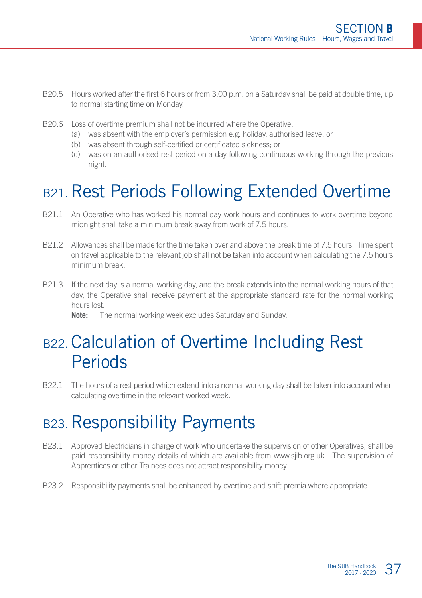- B20.5 Hours worked after the first 6 hours or from 3.00 p.m. on a Saturday shall be paid at double time, up to normal starting time on Monday.
- B20.6 Loss of overtime premium shall not be incurred where the Operative:
	- (a) was absent with the employer's permission e.g. holiday, authorised leave; or
	- (b) was absent through self-certified or certificated sickness; or
	- (c) was on an authorised rest period on a day following continuous working through the previous night.

### B21. Rest Periods Following Extended Overtime

- B21.1 An Operative who has worked his normal day work hours and continues to work overtime beyond midnight shall take a minimum break away from work of 7.5 hours.
- B21.2 Allowances shall be made for the time taken over and above the break time of 7.5 hours. Time spent on travel applicable to the relevant job shall not be taken into account when calculating the 7.5 hours minimum break.
- B21.3 If the next day is a normal working day, and the break extends into the normal working hours of that day, the Operative shall receive payment at the appropriate standard rate for the normal working hours lost.

**Note:** The normal working week excludes Saturday and Sunday.

### B22. Calculation of Overtime Including Rest **Periods**

B22.1 The hours of a rest period which extend into a normal working day shall be taken into account when calculating overtime in the relevant worked week.

### B23. Responsibility Payments

- B23.1 Approved Electricians in charge of work who undertake the supervision of other Operatives, shall be paid responsibility money details of which are available from www.sjib.org.uk. The supervision of Apprentices or other Trainees does not attract responsibility money.
- B23.2 Responsibility payments shall be enhanced by overtime and shift premia where appropriate.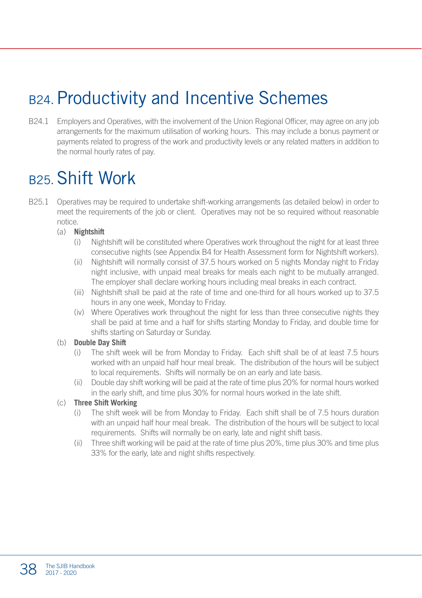### B24. Productivity and Incentive Schemes

B24.1 Employers and Operatives, with the involvement of the Union Regional Officer, may agree on any job arrangements for the maximum utilisation of working hours. This may include a bonus payment or payments related to progress of the work and productivity levels or any related matters in addition to the normal hourly rates of pay.

### B25.Shift Work

B25.1 Operatives may be required to undertake shift-working arrangements (as detailed below) in order to meet the requirements of the job or client. Operatives may not be so required without reasonable notice.

#### (a) **Nightshift**

- (i) Nightshift will be constituted where Operatives work throughout the night for at least three consecutive nights (see Appendix B4 for Health Assessment form for Nightshift workers).
- (ii) Nightshift will normally consist of 37.5 hours worked on 5 nights Monday night to Friday night inclusive, with unpaid meal breaks for meals each night to be mutually arranged. The employer shall declare working hours including meal breaks in each contract.
- (iii) Nightshift shall be paid at the rate of time and one-third for all hours worked up to 37.5 hours in any one week, Monday to Friday.
- (iv) Where Operatives work throughout the night for less than three consecutive nights they shall be paid at time and a half for shifts starting Monday to Friday, and double time for shifts starting on Saturday or Sunday.

#### (b) **Double Day Shift**

- (i) The shift week will be from Monday to Friday. Each shift shall be of at least 7.5 hours worked with an unpaid half hour meal break. The distribution of the hours will be subject to local requirements. Shifts will normally be on an early and late basis.
- (ii) Double day shift working will be paid at the rate of time plus 20% for normal hours worked in the early shift, and time plus 30% for normal hours worked in the late shift.

#### (c) **Three Shift Working**

- (i) The shift week will be from Monday to Friday. Each shift shall be of 7.5 hours duration with an unpaid half hour meal break. The distribution of the hours will be subject to local requirements. Shifts will normally be on early, late and night shift basis.
- (ii) Three shift working will be paid at the rate of time plus 20%, time plus 30% and time plus 33% for the early, late and night shifts respectively.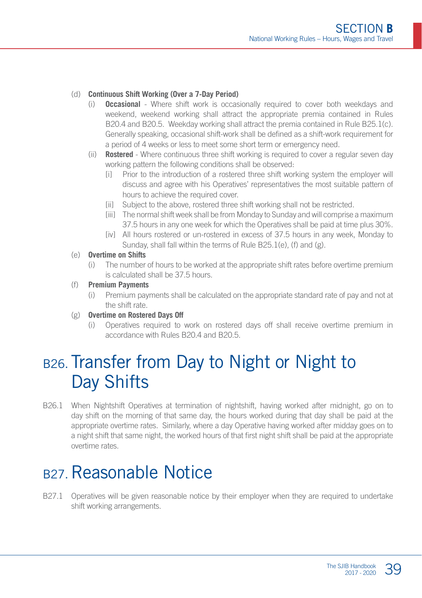#### (d) **Continuous Shift Working (Over a 7-Day Period)**

- (i) **Occasional** Where shift work is occasionally required to cover both weekdays and weekend, weekend working shall attract the appropriate premia contained in Rules B20.4 and B20.5. Weekday working shall attract the premia contained in Rule B25.1(c). Generally speaking, occasional shift-work shall be defined as a shift-work requirement for a period of 4 weeks or less to meet some short term or emergency need.
- (ii) **Rostered** Where continuous three shift working is required to cover a regular seven day working pattern the following conditions shall be observed:
	- [i] Prior to the introduction of a rostered three shift working system the employer will discuss and agree with his Operatives' representatives the most suitable pattern of hours to achieve the required cover.
	- [ii] Subject to the above, rostered three shift working shall not be restricted.
	- [iii] The normal shift week shall be from Monday to Sunday and will comprise a maximum 37.5 hours in any one week for which the Operatives shall be paid at time plus 30%.
	- [iv] All hours rostered or un-rostered in excess of 37.5 hours in any week, Monday to Sunday, shall fall within the terms of Rule B25.1(e), (f) and (g).

#### (e) **Overtime on Shifts**

(i) The number of hours to be worked at the appropriate shift rates before overtime premium is calculated shall be 37.5 hours.

#### (f) **Premium Payments**

(i) Premium payments shall be calculated on the appropriate standard rate of pay and not at the shift rate.

#### (g) **Overtime on Rostered Days Off**

(i) Operatives required to work on rostered days off shall receive overtime premium in accordance with Rules B20.4 and B20.5.

### B26. Transfer from Day to Night or Night to Day Shifts

B26.1 When Nightshift Operatives at termination of nightshift, having worked after midnight, go on to day shift on the morning of that same day, the hours worked during that day shall be paid at the appropriate overtime rates. Similarly, where a day Operative having worked after midday goes on to a night shift that same night, the worked hours of that first night shift shall be paid at the appropriate overtime rates.

### B<sub>27</sub>. Reasonable Notice

B27.1 Operatives will be given reasonable notice by their employer when they are required to undertake shift working arrangements.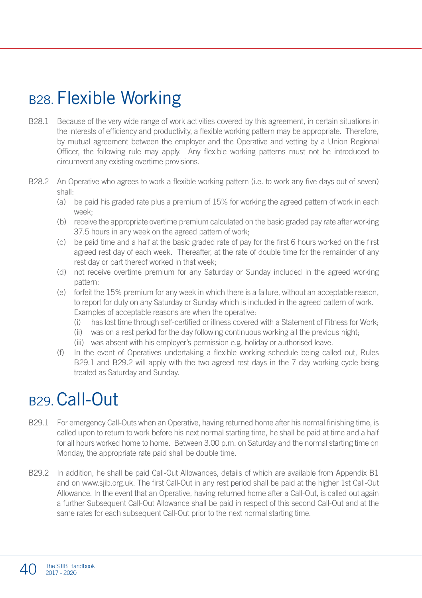### B<sub>28</sub>. Flexible Working

- B28.1 Because of the very wide range of work activities covered by this agreement, in certain situations in the interests of efficiency and productivity, a flexible working pattern may be appropriate. Therefore, by mutual agreement between the employer and the Operative and vetting by a Union Regional Officer, the following rule may apply. Any flexible working patterns must not be introduced to circumvent any existing overtime provisions.
- B28.2 An Operative who agrees to work a flexible working pattern (i.e. to work any five days out of seven) shall:
	- (a) be paid his graded rate plus a premium of 15% for working the agreed pattern of work in each week;
	- (b) receive the appropriate overtime premium calculated on the basic graded pay rate after working 37.5 hours in any week on the agreed pattern of work;
	- (c) be paid time and a half at the basic graded rate of pay for the first 6 hours worked on the first agreed rest day of each week. Thereafter, at the rate of double time for the remainder of any rest day or part thereof worked in that week;
	- (d) not receive overtime premium for any Saturday or Sunday included in the agreed working pattern;
	- (e) forfeit the 15% premium for any week in which there is a failure, without an acceptable reason, to report for duty on any Saturday or Sunday which is included in the agreed pattern of work. Examples of acceptable reasons are when the operative:
		- (i) has lost time through self-certified or illness covered with a Statement of Fitness for Work;
		- (ii) was on a rest period for the day following continuous working all the previous night;
		- (iii) was absent with his employer's permission e.g. holiday or authorised leave.
	- (f) In the event of Operatives undertaking a flexible working schedule being called out, Rules B<sub>29.1</sub> and B<sub>29.2</sub> will apply with the two agreed rest days in the 7 day working cycle being treated as Saturday and Sunday.

### B29.Call-Out

- B29.1 For emergency Call-Outs when an Operative, having returned home after his normal finishing time, is called upon to return to work before his next normal starting time, he shall be paid at time and a half for all hours worked home to home. Between 3.00 p.m. on Saturday and the normal starting time on Monday, the appropriate rate paid shall be double time.
- B29.2 In addition, he shall be paid Call-Out Allowances, details of which are available from Appendix B1 and on www.sjib.org.uk. The first Call-Out in any rest period shall be paid at the higher 1st Call-Out Allowance. In the event that an Operative, having returned home after a Call-Out, is called out again a further Subsequent Call-Out Allowance shall be paid in respect of this second Call-Out and at the same rates for each subsequent Call-Out prior to the next normal starting time.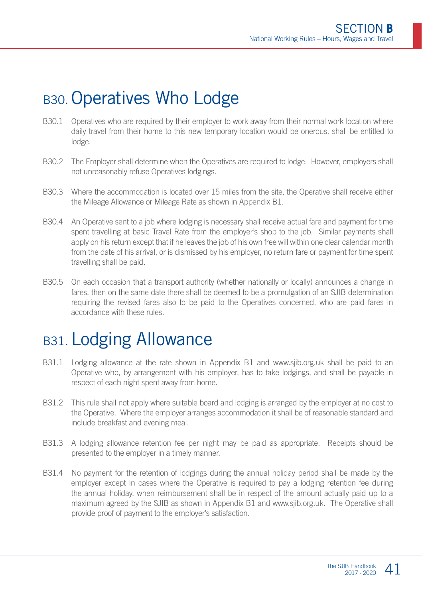### B30. Operatives Who Lodge

- B30.1 Operatives who are required by their employer to work away from their normal work location where daily travel from their home to this new temporary location would be onerous, shall be entitled to lodge.
- B30.2 The Employer shall determine when the Operatives are required to lodge. However, employers shall not unreasonably refuse Operatives lodgings.
- B30.3 Where the accommodation is located over 15 miles from the site, the Operative shall receive either the Mileage Allowance or Mileage Rate as shown in Appendix B1.
- B30.4 An Operative sent to a job where lodging is necessary shall receive actual fare and payment for time spent travelling at basic Travel Rate from the employer's shop to the job. Similar payments shall apply on his return except that if he leaves the job of his own free will within one clear calendar month from the date of his arrival, or is dismissed by his employer, no return fare or payment for time spent travelling shall be paid.
- B30.5 On each occasion that a transport authority (whether nationally or locally) announces a change in fares, then on the same date there shall be deemed to be a promulgation of an SJIB determination requiring the revised fares also to be paid to the Operatives concerned, who are paid fares in accordance with these rules.

### B31. Lodging Allowance

- B31.1 Lodging allowance at the rate shown in Appendix B1 and www.sjib.org.uk shall be paid to an Operative who, by arrangement with his employer, has to take lodgings, and shall be payable in respect of each night spent away from home.
- B31.2 This rule shall not apply where suitable board and lodging is arranged by the employer at no cost to the Operative. Where the employer arranges accommodation it shall be of reasonable standard and include breakfast and evening meal.
- B31.3 A lodging allowance retention fee per night may be paid as appropriate. Receipts should be presented to the employer in a timely manner.
- B31.4 No payment for the retention of lodgings during the annual holiday period shall be made by the employer except in cases where the Operative is required to pay a lodging retention fee during the annual holiday, when reimbursement shall be in respect of the amount actually paid up to a maximum agreed by the SJIB as shown in Appendix B1 and www.sjib.org.uk. The Operative shall provide proof of payment to the employer's satisfaction.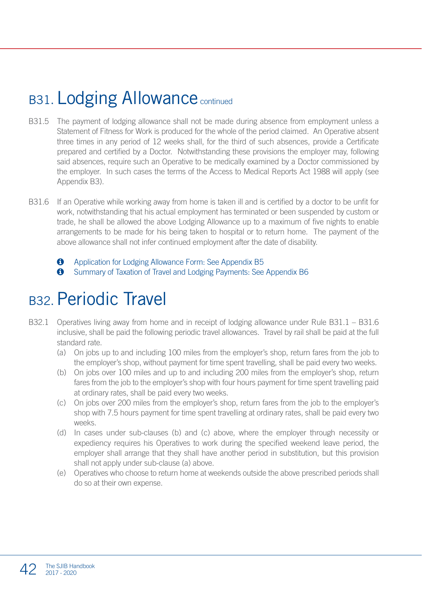### B31. Lodging Allowance continued

- B31.5 The payment of lodging allowance shall not be made during absence from employment unless a Statement of Fitness for Work is produced for the whole of the period claimed. An Operative absent three times in any period of 12 weeks shall, for the third of such absences, provide a Certificate prepared and certified by a Doctor. Notwithstanding these provisions the employer may, following said absences, require such an Operative to be medically examined by a Doctor commissioned by the employer. In such cases the terms of the Access to Medical Reports Act 1988 will apply (see Appendix B3).
- B31.6 If an Operative while working away from home is taken ill and is certified by a doctor to be unfit for work, notwithstanding that his actual employment has terminated or been suspended by custom or trade, he shall be allowed the above Lodging Allowance up to a maximum of five nights to enable arrangements to be made for his being taken to hospital or to return home. The payment of the above allowance shall not infer continued employment after the date of disability.
	- $\bullet$  Application for Lodging Allowance Form: See Appendix B5
	- **O** Summary of Taxation of Travel and Lodging Payments: See Appendix B6

### B32 Periodic Travel

- B32.1 Operatives living away from home and in receipt of lodging allowance under Rule B31.1 B31.6 inclusive, shall be paid the following periodic travel allowances. Travel by rail shall be paid at the full standard rate.
	- (a) On jobs up to and including 100 miles from the employer's shop, return fares from the job to the employer's shop, without payment for time spent travelling, shall be paid every two weeks.
	- (b) On jobs over 100 miles and up to and including 200 miles from the employer's shop, return fares from the job to the employer's shop with four hours payment for time spent travelling paid at ordinary rates, shall be paid every two weeks.
	- (c) On jobs over 200 miles from the employer's shop, return fares from the job to the employer's shop with 7.5 hours payment for time spent travelling at ordinary rates, shall be paid every two weeks.
	- (d) In cases under sub-clauses (b) and (c) above, where the employer through necessity or expediency requires his Operatives to work during the specified weekend leave period, the employer shall arrange that they shall have another period in substitution, but this provision shall not apply under sub-clause (a) above.
	- (e) Operatives who choose to return home at weekends outside the above prescribed periods shall do so at their own expense.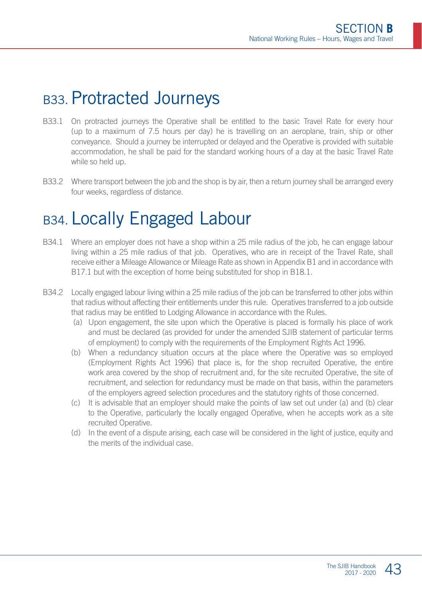### B33. Protracted Journeys

- B33.1 On protracted journeys the Operative shall be entitled to the basic Travel Rate for every hour (up to a maximum of 7.5 hours per day) he is travelling on an aeroplane, train, ship or other conveyance. Should a journey be interrupted or delayed and the Operative is provided with suitable accommodation, he shall be paid for the standard working hours of a day at the basic Travel Rate while so held up.
- B33.2 Where transport between the job and the shop is by air, then a return journey shall be arranged every four weeks, regardless of distance.

### B34. Locally Engaged Labour

- B34.1 Where an employer does not have a shop within a 25 mile radius of the job, he can engage labour living within a 25 mile radius of that job. Operatives, who are in receipt of the Travel Rate, shall receive either a Mileage Allowance or Mileage Rate as shown in Appendix B1 and in accordance with B17.1 but with the exception of home being substituted for shop in B18.1.
- B34.2 Locally engaged labour living within a 25 mile radius of the job can be transferred to other jobs within that radius without affecting their entitlements under this rule. Operatives transferred to a job outside that radius may be entitled to Lodging Allowance in accordance with the Rules.
	- (a) Upon engagement, the site upon which the Operative is placed is formally his place of work and must be declared (as provided for under the amended SJIB statement of particular terms of employment) to comply with the requirements of the Employment Rights Act 1996.
	- (b) When a redundancy situation occurs at the place where the Operative was so employed (Employment Rights Act 1996) that place is, for the shop recruited Operative, the entire work area covered by the shop of recruitment and, for the site recruited Operative, the site of recruitment, and selection for redundancy must be made on that basis, within the parameters of the employers agreed selection procedures and the statutory rights of those concerned.
	- (c) It is advisable that an employer should make the points of law set out under (a) and (b) clear to the Operative, particularly the locally engaged Operative, when he accepts work as a site recruited Operative.
	- (d) In the event of a dispute arising, each case will be considered in the light of justice, equity and the merits of the individual case.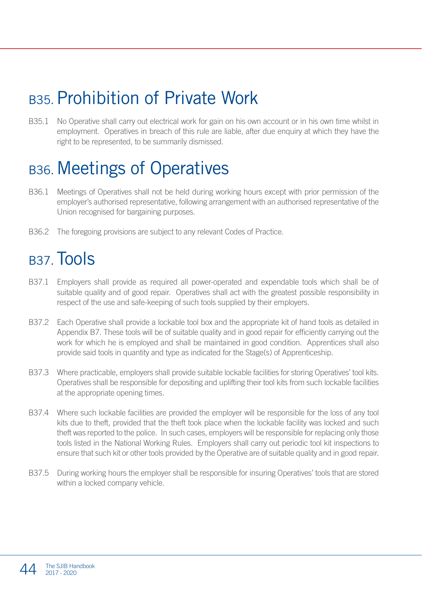### B35. Prohibition of Private Work

B35.1 No Operative shall carry out electrical work for gain on his own account or in his own time whilst in employment. Operatives in breach of this rule are liable, after due enquiry at which they have the right to be represented, to be summarily dismissed.

### B36. Meetings of Operatives

- B36.1 Meetings of Operatives shall not be held during working hours except with prior permission of the employer's authorised representative, following arrangement with an authorised representative of the Union recognised for bargaining purposes.
- B36.2 The foregoing provisions are subject to any relevant Codes of Practice.

### B<sub>37</sub> Tools

- B37.1 Employers shall provide as required all power-operated and expendable tools which shall be of suitable quality and of good repair. Operatives shall act with the greatest possible responsibility in respect of the use and safe-keeping of such tools supplied by their employers.
- B37.2 Each Operative shall provide a lockable tool box and the appropriate kit of hand tools as detailed in Appendix B7. These tools will be of suitable quality and in good repair for efficiently carrying out the work for which he is employed and shall be maintained in good condition. Apprentices shall also provide said tools in quantity and type as indicated for the Stage(s) of Apprenticeship.
- B37.3 Where practicable, employers shall provide suitable lockable facilities for storing Operatives' tool kits. Operatives shall be responsible for depositing and uplifting their tool kits from such lockable facilities at the appropriate opening times.
- B37.4 Where such lockable facilities are provided the employer will be responsible for the loss of any tool kits due to theft, provided that the theft took place when the lockable facility was locked and such theft was reported to the police. In such cases, employers will be responsible for replacing only those tools listed in the National Working Rules. Employers shall carry out periodic tool kit inspections to ensure that such kit or other tools provided by the Operative are of suitable quality and in good repair.
- B37.5 During working hours the employer shall be responsible for insuring Operatives' tools that are stored within a locked company vehicle.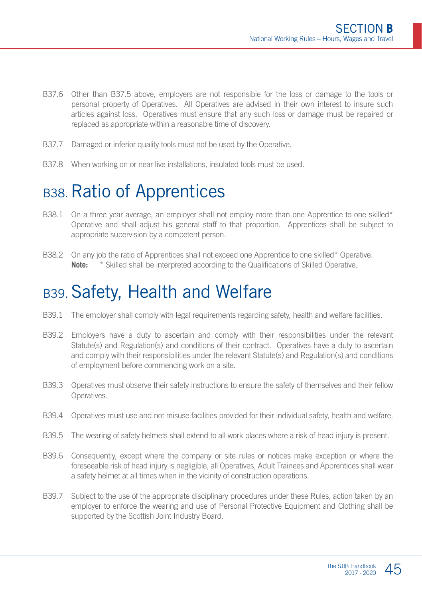- B37.6 Other than B37.5 above, employers are not responsible for the loss or damage to the tools or personal property of Operatives. All Operatives are advised in their own interest to insure such articles against loss. Operatives must ensure that any such loss or damage must be repaired or replaced as appropriate within a reasonable time of discovery.
- B37.7 Damaged or inferior quality tools must not be used by the Operative.
- B37.8 When working on or near live installations, insulated tools must be used.

### B38. Ratio of Apprentices

- B38.1 On a three year average, an employer shall not employ more than one Apprentice to one skilled\* Operative and shall adjust his general staff to that proportion. Apprentices shall be subject to appropriate supervision by a competent person.
- B38.2 On any job the ratio of Apprentices shall not exceed one Apprentice to one skilled\* Operative. **Note:** \* Skilled shall be interpreted according to the Qualifications of Skilled Operative.

### B39. Safety, Health and Welfare

- B39.1 The employer shall comply with legal requirements regarding safety, health and welfare facilities.
- B39.2 Employers have a duty to ascertain and comply with their responsibilities under the relevant Statute(s) and Regulation(s) and conditions of their contract. Operatives have a duty to ascertain and comply with their responsibilities under the relevant Statute(s) and Regulation(s) and conditions of employment before commencing work on a site.
- B39.3 Operatives must observe their safety instructions to ensure the safety of themselves and their fellow Operatives.
- B39.4 Operatives must use and not misuse facilities provided for their individual safety, health and welfare.
- B39.5 The wearing of safety helmets shall extend to all work places where a risk of head injury is present.
- B39.6 Consequently, except where the company or site rules or notices make exception or where the foreseeable risk of head injury is negligible, all Operatives, Adult Trainees and Apprentices shall wear a safety helmet at all times when in the vicinity of construction operations.
- B39.7 Subject to the use of the appropriate disciplinary procedures under these Rules, action taken by an employer to enforce the wearing and use of Personal Protective Equipment and Clothing shall be supported by the Scottish Joint Industry Board.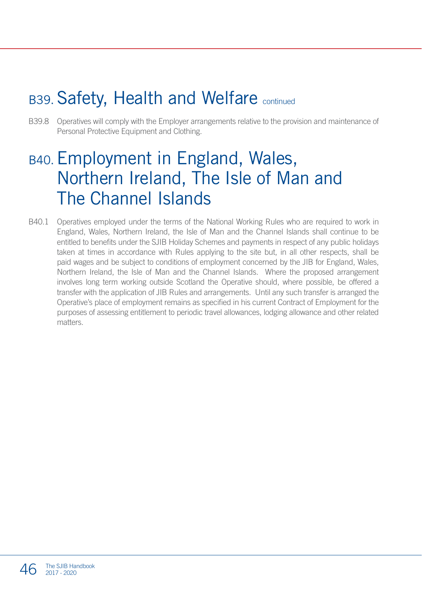### B39. Safety, Health and Welfare continued

B39.8 Operatives will comply with the Employer arrangements relative to the provision and maintenance of Personal Protective Equipment and Clothing.

### B40.Employment in England, Wales, Northern Ireland, The Isle of Man and The Channel Islands

B40.1 Operatives employed under the terms of the National Working Rules who are required to work in England, Wales, Northern Ireland, the Isle of Man and the Channel Islands shall continue to be entitled to benefits under the SJIB Holiday Schemes and payments in respect of any public holidays taken at times in accordance with Rules applying to the site but, in all other respects, shall be paid wages and be subject to conditions of employment concerned by the JIB for England, Wales, Northern Ireland, the Isle of Man and the Channel Islands. Where the proposed arrangement involves long term working outside Scotland the Operative should, where possible, be offered a transfer with the application of JIB Rules and arrangements. Until any such transfer is arranged the Operative's place of employment remains as specified in his current Contract of Employment for the purposes of assessing entitlement to periodic travel allowances, lodging allowance and other related matters.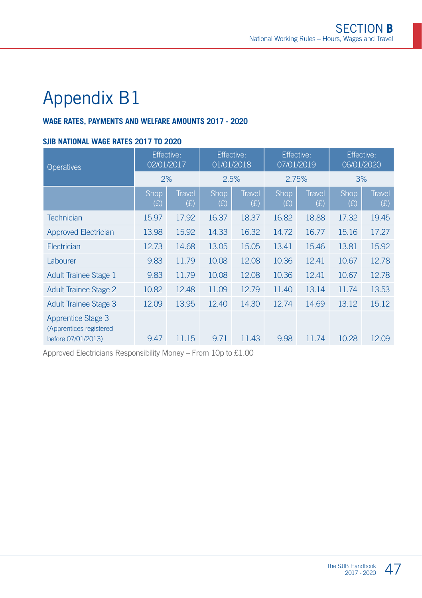#### **WAGE RATES, PAYMENTS AND WELFARE AMOUNTS 2017 - 2020**

#### **SJIB NATIONAL WAGE RATES 2017 TO 2020**

| <b>Operatives</b>                                                   | Effective:<br>02/01/2017 |                      | <b>Effective:</b><br>01/01/2018 |                      | Effective:<br>07/01/2019 |                      | <b>Effective:</b><br>06/01/2020 |                      |
|---------------------------------------------------------------------|--------------------------|----------------------|---------------------------------|----------------------|--------------------------|----------------------|---------------------------------|----------------------|
|                                                                     | 2%                       |                      | 2.5%                            |                      | 2.75%                    |                      | 3%                              |                      |
|                                                                     | Shop<br>(E)              | <b>Travel</b><br>(E) | Shop,<br>(E)                    | <b>Travel</b><br>(E) | Shop<br>(E)              | <b>Travel</b><br>(E) | Shop<br>(E)                     | <b>Travel</b><br>(E) |
| <b>Technician</b>                                                   | 15.97                    | 17.92                | 16.37                           | 18.37                | 16.82                    | 18.88                | 17.32                           | 19.45                |
| <b>Approved Electrician</b>                                         | 13.98                    | 15.92                | 14.33                           | 16.32                | 14.72                    | 16.77                | 15.16                           | 17.27                |
| Electrician                                                         | 12.73                    | 14.68                | 13.05                           | 15.05                | 13.41                    | 15.46                | 13.81                           | 15.92                |
| Labourer                                                            | 9.83                     | 11.79                | 10.08                           | 12.08                | 10.36                    | 12.41                | 10.67                           | 12.78                |
| Adult Trainee Stage 1                                               | 9.83                     | 11.79                | 10.08                           | 12.08                | 10.36                    | 12.41                | 10.67                           | 12.78                |
| <b>Adult Trainee Stage 2</b>                                        | 10.82                    | 12.48                | 11.09                           | 12.79                | 11.40                    | 13.14                | 11.74                           | 13.53                |
| <b>Adult Trainee Stage 3</b>                                        | 12.09                    | 13.95                | 12.40                           | 14.30                | 12.74                    | 14.69                | 13.12                           | 15.12                |
| Apprentice Stage 3<br>(Apprentices registered<br>before 07/01/2013) | 9.47                     | 11.15                | 9.71                            | 11.43                | 9.98                     | 11.74                | 10.28                           | 12.09                |

Approved Electricians Responsibility Money – From 10p to £1.00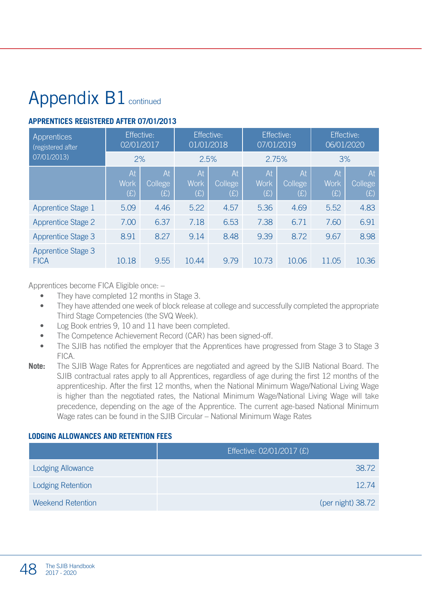# Appendix B1 continued

#### **APPRENTICES REGISTERED AFTER 07/01/2013**

| Apprentices<br>(registered after  | Effective:<br>02/01/2017 |                             | Effective:<br>01/01/2018 |                             | Effective:<br>07/01/2019 |                      | Effective:<br>06/01/2020 |                             |
|-----------------------------------|--------------------------|-----------------------------|--------------------------|-----------------------------|--------------------------|----------------------|--------------------------|-----------------------------|
| 07/01/2013)                       | 2%                       |                             | 2.5%                     |                             | 2.75%                    |                      | 3%                       |                             |
|                                   | At<br><b>Work</b><br>(E) | At<br><b>College</b><br>(E) | At<br><b>Work</b><br>(E) | At<br><b>College</b><br>(E) | At<br><b>Work</b><br>(E) | At<br>College<br>(E) | At<br><b>Work</b><br>(E) | At<br><b>College</b><br>(E) |
| Apprentice Stage 1                | 5.09                     | 4.46                        | 5.22                     | 4.57                        | 5.36                     | 4.69                 | 5.52                     | 4.83                        |
| <b>Apprentice Stage 2</b>         | 7.00                     | 6.37                        | 7.18                     | 6.53                        | 7.38                     | 6.71                 | 7.60                     | 6.91                        |
| Apprentice Stage 3                | 8.91                     | 8.27                        | 9.14                     | 8.48                        | 9.39                     | 8.72                 | 9.67                     | 8.98                        |
| Apprentice Stage 3<br><b>FICA</b> | 10.18                    | 9.55                        | 10.44                    | 9.79                        | 10.73                    | 10.06                | 11.05                    | 10.36                       |

Apprentices become FICA Eligible once: –

- They have completed 12 months in Stage 3.
- They have attended one week of block release at college and successfully completed the appropriate Third Stage Competencies (the SVQ Week).
- Log Book entries 9, 10 and 11 have been completed.
- The Competence Achievement Record (CAR) has been signed-off.
- The SJIB has notified the employer that the Apprentices have progressed from Stage 3 to Stage 3 FICA.
- **Note:** The SJIB Wage Rates for Apprentices are negotiated and agreed by the SJIB National Board. The SJIB contractual rates apply to all Apprentices, regardless of age during the first 12 months of the apprenticeship. After the first 12 months, when the National Minimum Wage/National Living Wage is higher than the negotiated rates, the National Minimum Wage/National Living Wage will take precedence, depending on the age of the Apprentice. The current age-based National Minimum Wage rates can be found in the SJIB Circular – National Minimum Wage Rates

#### **LODGING ALLOWANCES AND RETENTION FEES**

|                          | Effective: 02/01/2017 (£) |
|--------------------------|---------------------------|
| <b>Lodging Allowance</b> | 38.72                     |
| <b>Lodging Retention</b> | 1274                      |
| <b>Weekend Retention</b> | (per night) 38.72         |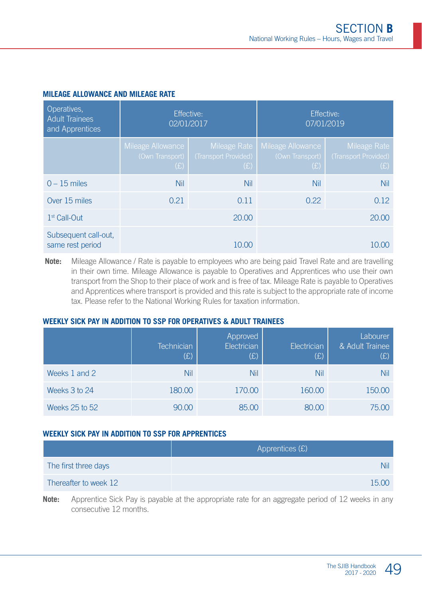| Operatives,<br><b>Adult Trainees</b><br>and Apprentices | 02/01/2017                                  | Effective:                  | Effective:<br>07/01/2019                                   |                                             |  |
|---------------------------------------------------------|---------------------------------------------|-----------------------------|------------------------------------------------------------|---------------------------------------------|--|
|                                                         | Mileage Allowance<br>(Own Transport)<br>(E) | (Transport Provided)<br>(E) | Mileage Rate   Mileage Allowance<br>(Own Transport)<br>(E) | Mileage Rate<br>(Transport Provided)<br>(E) |  |
| $0 - 15$ miles                                          | Nil                                         | Nil                         | Nil                                                        | <b>Nil</b>                                  |  |
| Over 15 miles                                           | 0.21                                        | 0.11                        | 0.22                                                       | 0.12                                        |  |
| $1st$ Call-Out                                          |                                             | 20.00                       |                                                            | 20.00                                       |  |
| Subsequent call-out,<br>same rest period                |                                             | 10.00                       |                                                            | 10.00                                       |  |

#### **MILEAGE ALLOWANCE AND MILEAGE RATE**

**Note:** Mileage Allowance / Rate is payable to employees who are being paid Travel Rate and are travelling in their own time. Mileage Allowance is payable to Operatives and Apprentices who use their own transport from the Shop to their place of work and is free of tax. Mileage Rate is payable to Operatives and Apprentices where transport is provided and this rate is subject to the appropriate rate of income tax. Please refer to the National Working Rules for taxation information.

#### **WEEKLY SICK PAY IN ADDITION TO SSP FOR OPERATIVES & ADULT TRAINEES**

|                | <b>Technician</b><br>(E) | Approved<br>Electrician<br>(E) | Electrician<br>(E) | Labourer<br>& Adult Trainee<br>(E) |
|----------------|--------------------------|--------------------------------|--------------------|------------------------------------|
| Weeks 1 and 2  | Nil                      | Nil                            | Nil                | Nil                                |
| Weeks 3 to 24  | 180.00                   | 170.00                         | 160.00             | 150.00                             |
| Weeks 25 to 52 | 90.00                    | 85.00                          | 80.00              | 75.00                              |

#### **WEEKLY SICK PAY IN ADDITION TO SSP FOR APPRENTICES**

|                       | Apprentices $(E)$ |
|-----------------------|-------------------|
| The first three days  | Nil               |
| Thereafter to week 12 | 1500              |

**Note:** Apprentice Sick Pay is payable at the appropriate rate for an aggregate period of 12 weeks in any consecutive 12 months.

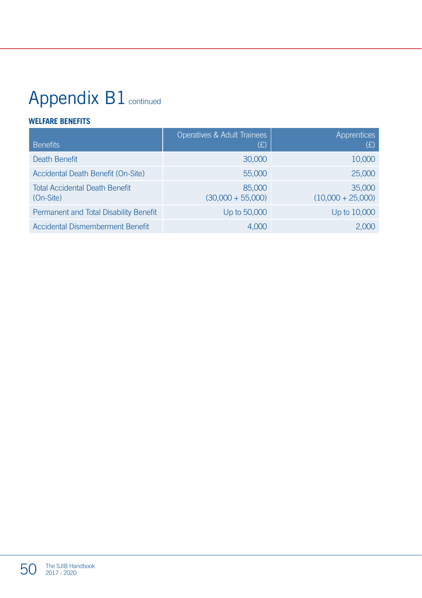# Appendix B1 continued

#### **WELFARE BENEFITS**

| <b>Benefits</b>                                    | Operatives & Adult Trainees<br>(E) | Apprentices<br>(E)            |
|----------------------------------------------------|------------------------------------|-------------------------------|
| Death Benefit                                      | 30,000                             | 10,000                        |
| Accidental Death Benefit (On-Site)                 | 55,000                             | 25,000                        |
| <b>Total Accidental Death Benefit</b><br>(On-Site) | 85,000<br>$(30,000 + 55,000)$      | 35,000<br>$(10,000 + 25,000)$ |
| Permanent and Total Disability Benefit             | Up to 50,000                       | Up to 10,000                  |
| Accidental Dismemberment Benefit                   | 4.000                              | 2.000                         |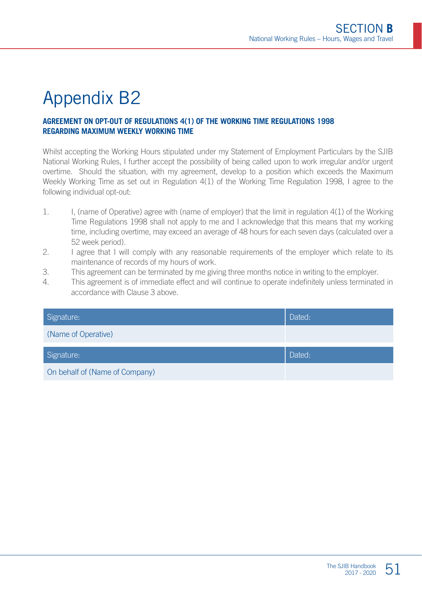#### **AGREEMENT ON OPT-OUT OF REGULATIONS 4(1) OF THE WORKING TIME REGULATIONS 1998 REGARDING MAXIMUM WEEKLY WORKING TIME**

Whilst accepting the Working Hours stipulated under my Statement of Employment Particulars by the SJIB National Working Rules, I further accept the possibility of being called upon to work irregular and/or urgent overtime. Should the situation, with my agreement, develop to a position which exceeds the Maximum Weekly Working Time as set out in Regulation 4(1) of the Working Time Regulation 1998, I agree to the following individual opt-out:

- 1. I, (name of Operative) agree with (name of employer) that the limit in regulation 4(1) of the Working Time Regulations 1998 shall not apply to me and I acknowledge that this means that my working time, including overtime, may exceed an average of 48 hours for each seven days (calculated over a 52 week period).
- 2. I agree that I will comply with any reasonable requirements of the employer which relate to its maintenance of records of my hours of work.
- 3. This agreement can be terminated by me giving three months notice in writing to the employer.
- 4. This agreement is of immediate effect and will continue to operate indefinitely unless terminated in accordance with Clause 3 above.

| Signature:                     | Dated: |
|--------------------------------|--------|
| (Name of Operative)            |        |
| Signature:                     | Dated: |
| On behalf of (Name of Company) |        |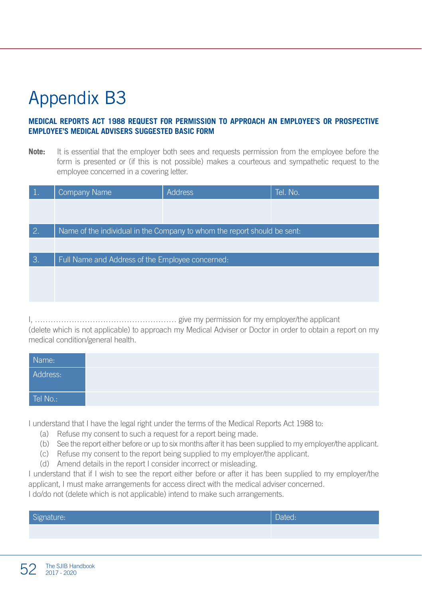#### **MEDICAL REPORTS ACT 1988 REQUEST FOR PERMISSION TO APPROACH AN EMPLOYEE'S OR PROSPECTIVE EMPLOYEE'S MEDICAL ADVISERS SUGGESTED BASIC FORM**

**Note:** It is essential that the employer both sees and requests permission from the employee before the form is presented or (if this is not possible) makes a courteous and sympathetic request to the employee concerned in a covering letter.

| $\mathbf{1}$ .  | <b>Company Name</b>                              | <b>Address</b>                                                           | Tel. No. |
|-----------------|--------------------------------------------------|--------------------------------------------------------------------------|----------|
|                 |                                                  |                                                                          |          |
| 2.              |                                                  | Name of the individual in the Company to whom the report should be sent. |          |
|                 |                                                  |                                                                          |          |
| $\mathcal{B}$ . | Full Name and Address of the Employee concerned: |                                                                          |          |
|                 |                                                  |                                                                          |          |
|                 |                                                  |                                                                          |          |
|                 |                                                  |                                                                          |          |

I, ……………………………………………… give my permission for my employer/the applicant (delete which is not applicable) to approach my Medical Adviser or Doctor in order to obtain a report on my medical condition/general health.

| Name:    |  |
|----------|--|
| Address: |  |
| Tel No.: |  |

I understand that I have the legal right under the terms of the Medical Reports Act 1988 to:

- (a) Refuse my consent to such a request for a report being made.
- (b) See the report either before or up to six months after it has been supplied to my employer/the applicant.
- (c) Refuse my consent to the report being supplied to my employer/the applicant.
- (d) Amend details in the report I consider incorrect or misleading.

I understand that if I wish to see the report either before or after it has been supplied to my employer/the applicant, I must make arrangements for access direct with the medical adviser concerned. I do/do not (delete which is not applicable) intend to make such arrangements.

| $\sim$<br><b>Production</b> |  |
|-----------------------------|--|
|                             |  |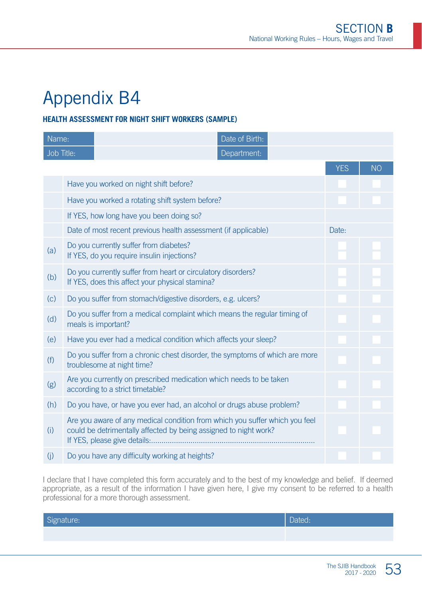#### **HEALTH ASSESSMENT FOR NIGHT SHIFT WORKERS (SAMPLE)**

| Name:      |                                                                                                                                                 | Date of Birth:                                                                                                  |            |           |
|------------|-------------------------------------------------------------------------------------------------------------------------------------------------|-----------------------------------------------------------------------------------------------------------------|------------|-----------|
| Job Title: |                                                                                                                                                 | Department:                                                                                                     |            |           |
|            |                                                                                                                                                 |                                                                                                                 | <b>YES</b> | <b>NO</b> |
|            | Have you worked on night shift before?                                                                                                          |                                                                                                                 |            |           |
|            | Have you worked a rotating shift system before?                                                                                                 |                                                                                                                 |            |           |
|            | If YES, how long have you been doing so?                                                                                                        |                                                                                                                 |            |           |
|            | Date of most recent previous health assessment (if applicable)                                                                                  |                                                                                                                 | Date:      |           |
| (a)        | Do you currently suffer from diabetes?<br>If YES, do you require insulin injections?                                                            |                                                                                                                 |            |           |
| (b)        |                                                                                                                                                 | Do you currently suffer from heart or circulatory disorders?<br>If YES, does this affect your physical stamina? |            |           |
| (c)        | Do you suffer from stomach/digestive disorders, e.g. ulcers?                                                                                    |                                                                                                                 |            |           |
| (d)        | Do you suffer from a medical complaint which means the regular timing of<br>meals is important?                                                 |                                                                                                                 |            |           |
| (e)        | Have you ever had a medical condition which affects your sleep?                                                                                 |                                                                                                                 |            |           |
| (f)        | Do you suffer from a chronic chest disorder, the symptoms of which are more<br>troublesome at night time?                                       |                                                                                                                 |            |           |
| (g)        | Are you currently on prescribed medication which needs to be taken<br>according to a strict timetable?                                          |                                                                                                                 |            |           |
| (h)        | Do you have, or have you ever had, an alcohol or drugs abuse problem?                                                                           |                                                                                                                 |            |           |
| (i)        | Are you aware of any medical condition from which you suffer which you feel<br>could be detrimentally affected by being assigned to night work? |                                                                                                                 |            |           |
| (j)        | Do you have any difficulty working at heights?                                                                                                  |                                                                                                                 |            |           |

I declare that I have completed this form accurately and to the best of my knowledge and belief. If deemed appropriate, as a result of the information I have given here, I give my consent to be referred to a health professional for a more thorough assessment.

| $\sim$<br>Signature: | Dated: |
|----------------------|--------|
|                      |        |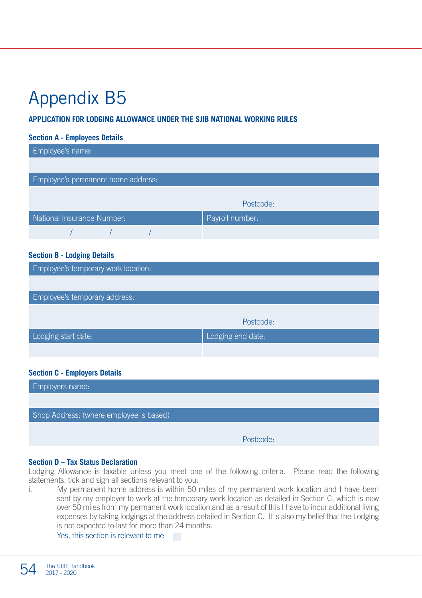#### **APPLICATION FOR LODGING ALLOWANCE UNDER THE SJIB NATIONAL WORKING RULES**

#### **Section A - Employees Details**

| Employee's name:                   |                 |
|------------------------------------|-----------------|
|                                    |                 |
| Employee's permanent home address: |                 |
|                                    |                 |
|                                    | Postcode:       |
| National Insurance Number:         | Payroll number: |
|                                    |                 |

#### **Section B - Lodging Details**

| Postcode:         |
|-------------------|
| Lodging end date: |
|                   |
|                   |

#### **Section C - Employers Details**

| <b>Employers name:</b>                  |           |  |
|-----------------------------------------|-----------|--|
|                                         |           |  |
| Shop Address: (where employee is based) |           |  |
|                                         |           |  |
|                                         | Postcode: |  |

#### **Section D – Tax Status Declaration**

Lodging Allowance is taxable unless you meet one of the following criteria. Please read the following statements, tick and sign all sections relevant to you:

i. My permanent home address is within 50 miles of my permanent work location and I have been sent by my employer to work at the temporary work location as detailed in Section C, which is now over 50 miles from my permanent work location and as a result of this I have to incur additional living expenses by taking lodgings at the address detailed in Section C. It is also my belief that the Lodging is not expected to last for more than 24 months.

Yes, this section is relevant to me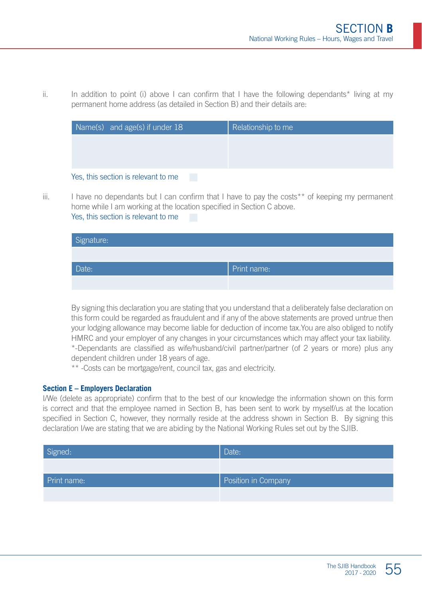ii. In addition to point (i) above I can confirm that I have the following dependants\* living at my permanent home address (as detailed in Section B) and their details are:

| Name(s) and age(s) if under 18      | Relationship to me |
|-------------------------------------|--------------------|
|                                     |                    |
|                                     |                    |
| Yes, this section is relevant to me |                    |

 $iii.$  I have no dependants but I can confirm that I have to pay the costs<sup>\*\*</sup> of keeping my permanent home while I am working at the location specified in Section C above.

Yes, this section is relevant to me

| Signature: |             |
|------------|-------------|
|            |             |
| Date:      | Print name: |
|            |             |

By signing this declaration you are stating that you understand that a deliberately false declaration on this form could be regarded as fraudulent and if any of the above statements are proved untrue then your lodging allowance may become liable for deduction of income tax.You are also obliged to notify HMRC and your employer of any changes in your circumstances which may affect your tax liability. \*-Dependants are classified as wife/husband/civil partner/partner (of 2 years or more) plus any dependent children under 18 years of age.

\*\* -Costs can be mortgage/rent, council tax, gas and electricity.

#### **Section E – Employers Declaration**

I/We (delete as appropriate) confirm that to the best of our knowledge the information shown on this form is correct and that the employee named in Section B, has been sent to work by myself/us at the location specified in Section C, however, they normally reside at the address shown in Section B. By signing this declaration I/we are stating that we are abiding by the National Working Rules set out by the SJIB.

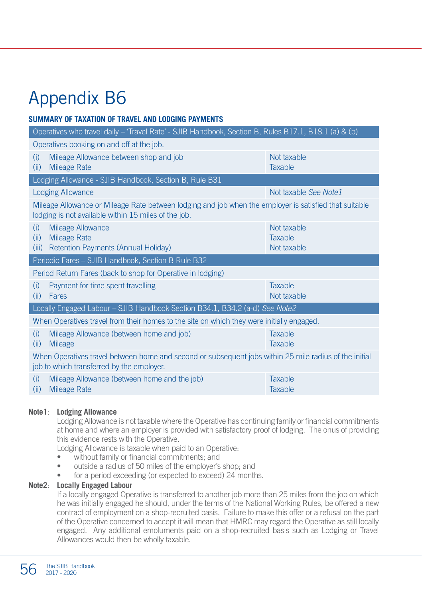#### **SUMMARY OF TAXATION OF TRAVEL AND LODGING PAYMENTS**

| Operatives who travel daily - 'Travel Rate' - SJIB Handbook, Section B, Rules B17.1, B18.1 (a) & (b)                                                           |                                              |  |
|----------------------------------------------------------------------------------------------------------------------------------------------------------------|----------------------------------------------|--|
| Operatives booking on and off at the job.                                                                                                                      |                                              |  |
| Mileage Allowance between shop and job<br>(i)<br><b>Mileage Rate</b><br>(ii)                                                                                   | Not taxable<br><b>Taxable</b>                |  |
| Lodging Allowance - SJIB Handbook, Section B, Rule B31                                                                                                         |                                              |  |
| <b>Lodging Allowance</b>                                                                                                                                       | Not taxable See Note1                        |  |
| Mileage Allowance or Mileage Rate between lodging and job when the employer is satisfied that suitable<br>lodging is not available within 15 miles of the job. |                                              |  |
| <b>Mileage Allowance</b><br>(i)<br><b>Mileage Rate</b><br>(ii)<br><b>Retention Payments (Annual Holiday)</b><br>(iii)                                          | Not taxable<br><b>Taxable</b><br>Not taxable |  |
| Periodic Fares - SJIB Handbook, Section B Rule B32                                                                                                             |                                              |  |
| Period Return Fares (back to shop for Operative in lodging)                                                                                                    |                                              |  |
| Payment for time spent travelling<br>(i)<br>Fares<br>(ii)                                                                                                      | <b>Taxable</b><br>Not taxable                |  |
| Locally Engaged Labour - SJIB Handbook Section B34.1, B34.2 (a-d) See Note2                                                                                    |                                              |  |
| When Operatives travel from their homes to the site on which they were initially engaged.                                                                      |                                              |  |
| Mileage Allowance (between home and job)<br>(i)<br><b>Mileage</b><br>(ii)                                                                                      | <b>Taxable</b><br><b>Taxable</b>             |  |
| When Operatives travel between home and second or subsequent jobs within 25 mile radius of the initial<br>job to which transferred by the employer.            |                                              |  |
| Mileage Allowance (between home and the job)<br>(i)<br>(ii)<br>Mileage Rate                                                                                    | <b>Taxable</b><br>Taxable                    |  |

#### **Note1**: **Lodging Allowance**

Lodging Allowance is not taxable where the Operative has continuing family or financial commitments at home and where an employer is provided with satisfactory proof of lodging. The onus of providing this evidence rests with the Operative.

Lodging Allowance is taxable when paid to an Operative:

- without family or financial commitments; and
- outside a radius of 50 miles of the employer's shop; and
- for a period exceeding (or expected to exceed) 24 months.

#### **Note2**: **Locally Engaged Labour**

If a locally engaged Operative is transferred to another job more than 25 miles from the job on which he was initially engaged he should, under the terms of the National Working Rules, be offered a new contract of employment on a shop-recruited basis. Failure to make this offer or a refusal on the part of the Operative concerned to accept it will mean that HMRC may regard the Operative as still locally engaged. Any additional emoluments paid on a shop-recruited basis such as Lodging or Travel Allowances would then be wholly taxable.